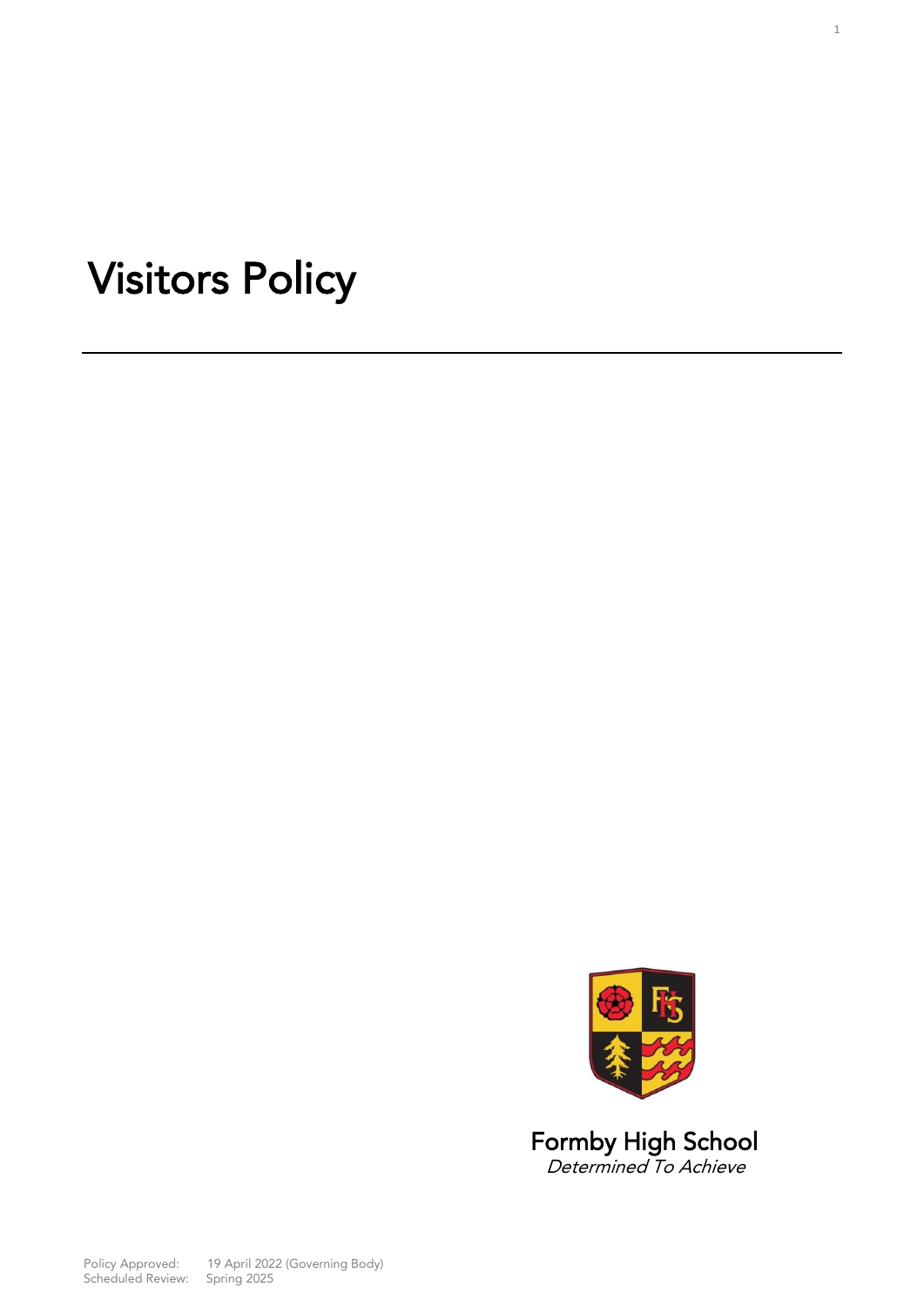# Visitors Policy



**Determined To Achieve** 

Policy Approved: 19 April 2022 (Governming Body)<br>Scheduled Review: 19 Spring 2025 Scheduled Review: Spring 2025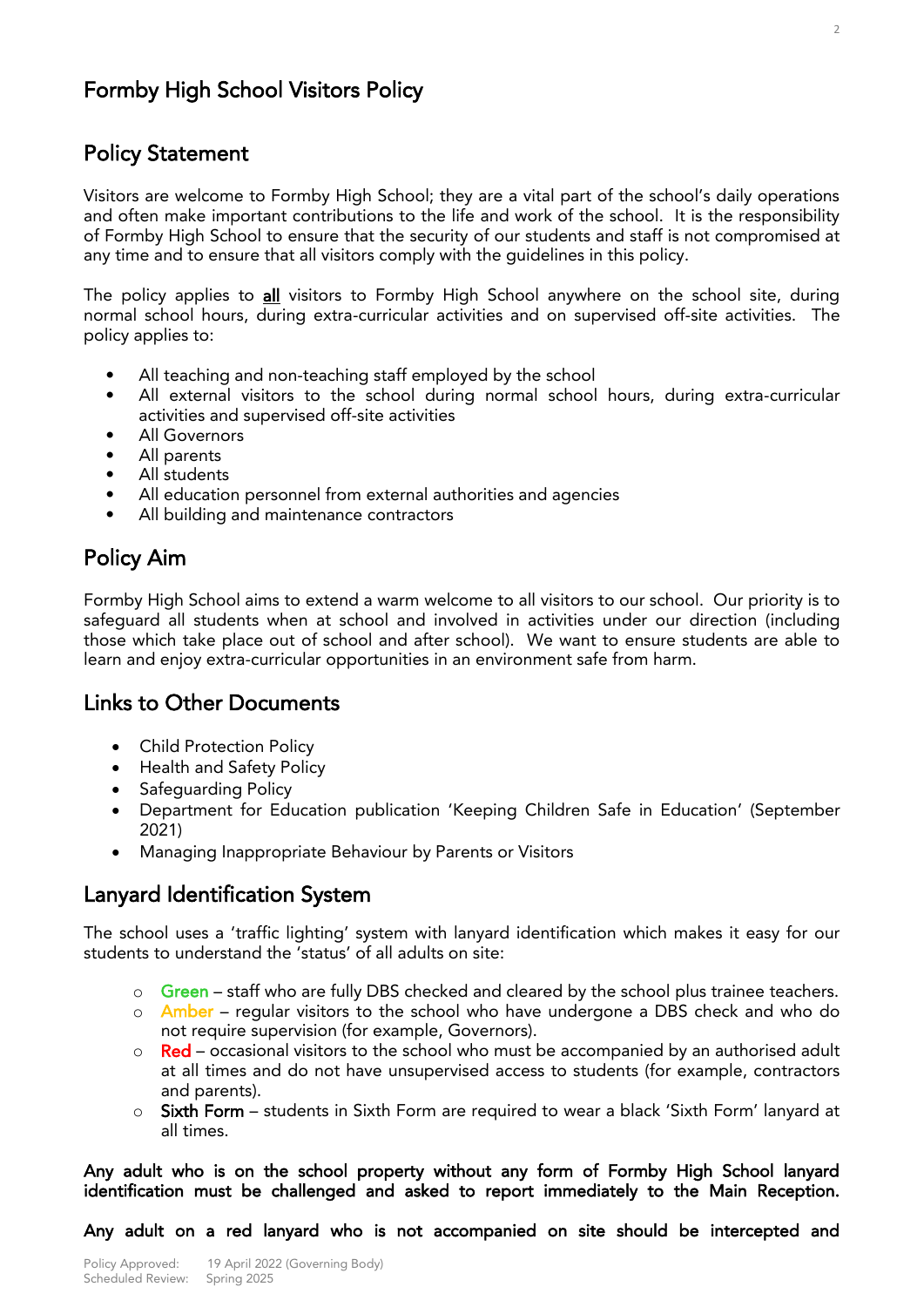# Formby High School Visitors Policy

# Ï Policy Statement

Visitors are welcome to Formby High School; they are a vital part of the school's daily operations and often make important contributions to the life and work of the school. It is the responsibility of Formby High School to ensure that the security of our students and staff is not compromised at any time and to ensure that all visitors comply with the quidelines in this policy. any time and to ensure that all visitors comply with the guidelines in this policy.

The policy applies to *all* visitors to Formby High School anywhere on the school site, during normal school hours, during extra-curricular activities and on supervised off-site activities. The policy applies to: policy applies to:

- 
- All teaching and non-teaching staff employed by the school<br>All external visitors to the school during normal school hours, during extra-curricular activities and supervised off-site activities
- $\bullet$ All Governors
- All parents
- All students
- All education personnel from external authorities and agencies
- All building and maintenance contractors  $\mathbf{r}$

# Policy Aim

Formby High School aims to extend a warm welcome to all visitors to our school. Our priority is to safeguard all students when at school and involved in activities under our direction (including those which take place out of school and after school). We want to ensure students are able to these which take place out of school and after school). We have to ensure studies are able to learn and enjoy extra-curricular opportunities in an environment safe from harm.

### **Links to Other Documents** Links to Other Documents

- Child Protection Policy
- Health and Safety Policy
- Safeguarding Policy
- Department for Education publication 'Keeping Children Safe in Education' (September
- Managing Inappropriate Behaviour by Parents or Visitors

# Lanyard Identification System

The school uses a 'traffic lighting' system with lanyard identification which makes it easy for our students to understand the 'status' of all adults on site: students to understand the 'status' of all adults on site:

- o Green staff who are fully DBS checked and cleared by the school plus trainee teachers.
- o **Amber** regular visitors to the school who have undergone a DBS check and who do not require supervision (for example, Governors).
- $\sim$  Red occasional visitors to the school who must be accompanied by an authorised adult<br>at all times and do not have unsupervised access to students (for example, contractors at all times and do not have unsupervised access to students (for example, contractors
- o Sixth Form students in Sixth Form are required to wear a black 'Sixth Form' lanyard at all times all times.

Any addit who is on the school property without any form of Formby High School lanyard.<br>Identification must be challenged and asked to report immediately to the Main Reception identification must be challenged and asked to report immediately to the Main Reception.

 $\overline{1}$ Any adult on a red lanyard who is not accompanied on site should be intercepted and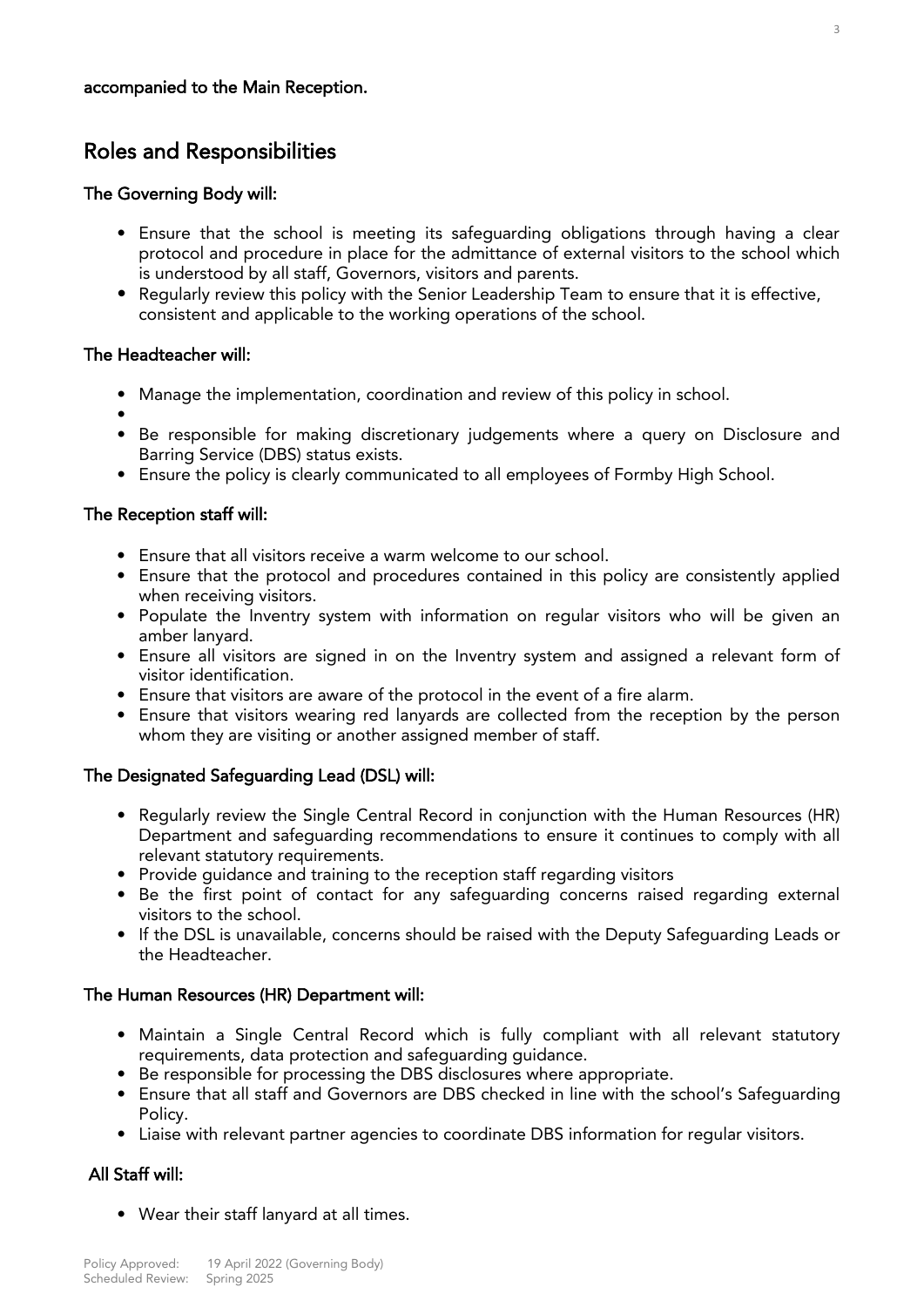# accompanied to the Main Reception.

# Roles and Responsibilities

## The Governing Body will:

- Ensure that the school is meeting its safeguarding obligations through having a clear is understood by all staff, Governors, visitors and parents.
- Regularly review this policy with the Senior Leadership Team to ensure that it is effective,  $\frac{1}{2}$  consistent and applicable to the working operations of the school. consistent and applicable to the working operations of the school.

#### The Headteacher will: The Headteacher will:

- Manage the implementation, coordination and review of this policy in school.
- 
- Be responsible for making discretionary judgements where a query on Disclosure and Barring Service (DBS) status exists.
- Barring Service (BBS) status exists.<br>Ensure the policy is clearly commu • Ensure the policy is clearly communicated to all employees of Formby High School.

#### 7 The Reception staff will:

- 
- Ensure that all visitors receive a warm welcome to our school.<br>• Ensure that the protocol and procedures contained in this policy are consistently applied when receiving visitors.
- when receiving visitors. extra the Invention of Indian with information on regular visitors who will be given an regular visitors who will be given an analyze  $\frac{1}{2}$ amber lanyard.<br>• Ensure all visitors are signed in on the Inventry system and assigned a relevant form of
- visitor identification.
- Ensure that visitors are aware of the protocol in the event of a fire alarm.
- Ensure that visitors wearing red lanyards are collected from the reception by the person whom they are visiting or another assigned member of staff whom they are visiting or another assigned member of staff.

## The Designated Safeguarding Lead (DSL) will:

- Regularly review the Single Central Record in conjunction with the Human Resources (HR) relevant statutory requirements.
- Provide quidance and training to the reception staff regarding visitors
- Be the first point of contact for any safeguarding concerns raised regarding external visitors to the school.
- If the DSL is unavailable, concerns should be raised with the Deputy Safequarding Leads or the Headteacher. the Headteacher.

#### The Human Resources (HR) Department will:  $T_{\text{max}}$  and  $T_{\text{max}}$  are  $\mu$   $m_{\phi}$  by Department will:

- Maintain a Single Central Record which is fully compliant with all relevant statutory requirements, data protection and safeguarding guidance.
- Be responsible for processing the DBS disclosures where appropriate.
- Be responsible for processing the DDS disclosures where appropriate. • Ensure that all staff and Governors are DBS checked in line with the school's Safeguarding
- ر۔<br>Liaise ۱ • Liaise with relevant partner agencies to coordinate DBS information for regular visitors.

#### All Staff will:  $\overline{\phantom{a}}$

• Wear their staff lanyard at all times.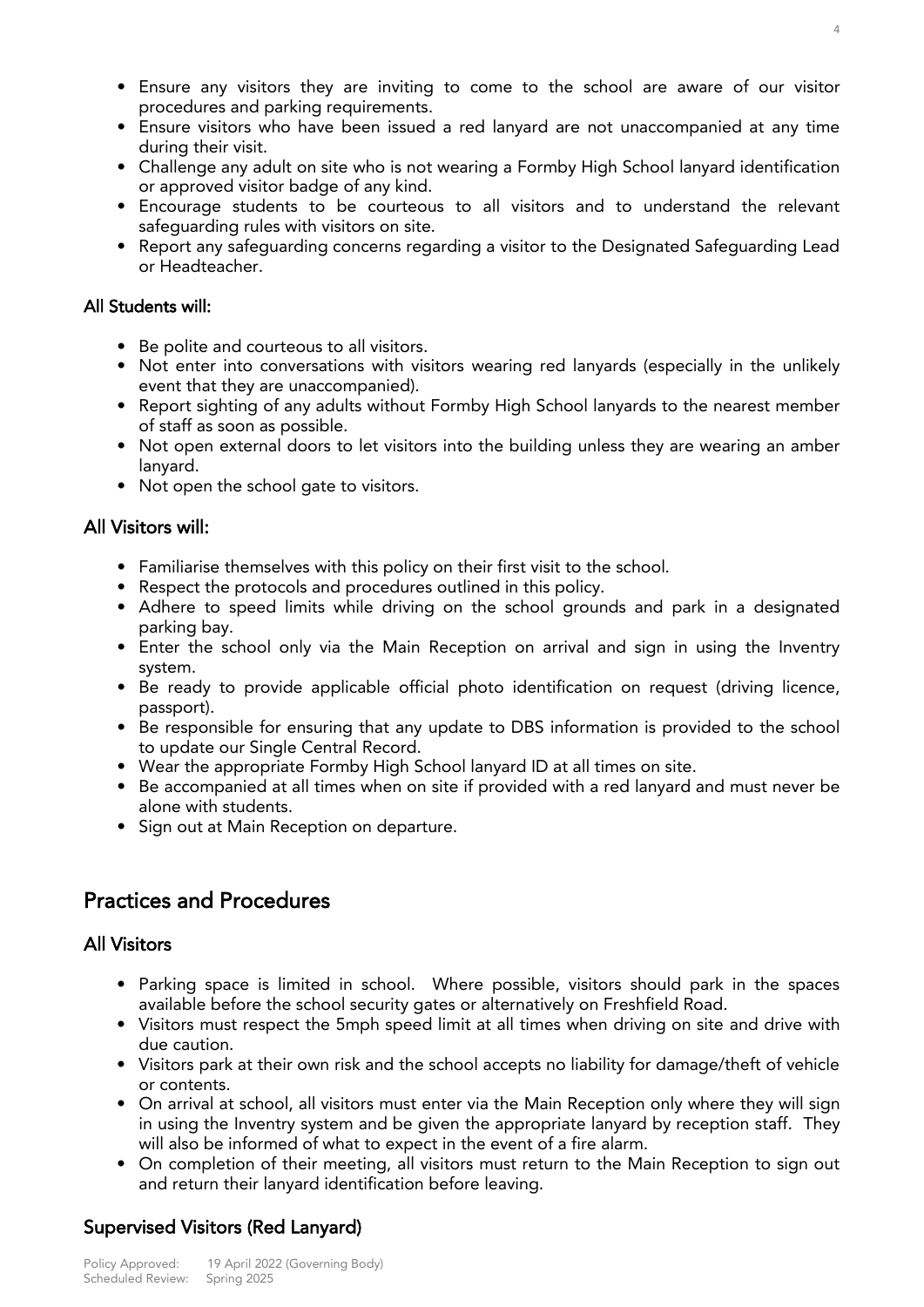- Ensure any visitors they are inviting to come to the school are aware of our visitor
- Ensure visitors who have been issued a red lanyard are not unaccompanied at any time during their visit.
- Challenge any adult on site who is not wearing a Formby High School lanyard identification or approved visitor badge of any kind.
- Encourage students to be courteous to all visitors and to understand the relevant safequarding rules with visitors on site.
- Report any safeguarding concerns regarding a visitor to the Designated Safeguarding Lead or Headteacher. or Headteacher.

#### All Students will: All Students will:

- 
- Be polite and courteous to all visitors.<br>• Not enter into conversations with visitors wearing red lanyards (especially in the unlikely event that they are unaccompanied).
- Report sighting of any adults without Formby High School lanyards to the nearest member of staff as soon as possible.
- Not open external doors to • Not open external doors to let visitors into the building unless they are wearing an amber lanyard.<br>• Not open the school gate to visitors.
- Not open the school gate to visitors.

#### All Visitors will: All Visitors will:

- Familiarise themselves with this policy on their first visit to the school.<br>• Respect the protocols and procedures outlined in this policy.
- 
- Adhere to speed limits while driving on the school group • Adhere to speed limits while driving on the school grounds and park in a designated
- rang oray.<br>Enter the sc  $\frac{1}{2}$  extern school only via the Main Reception on a sign in using the Invention  $\frac{1}{2}$
- .<br>Re rear • Be ready to provide applicable official photo identification on request (driving licence, passport).<br>• Be responsible for ensuring that any update to DBS information is provided to the school
- to update our Single Central Record.
- Wear the appropriate Formby High School lanyard ID at all times on site.
- Be accompanied at all times when on site if provided with a red lanyard and must never be alone with students.
- Sign out at Main Reception on departure. • Sign out at Main Reception on departure.

### **Practices and Procedures** Practices and Procedures

#### **All Visitors** All Visitors

- Parking space is limited in school. Where possible, visitors should park in the spaces available before the school security gates or alternatively on Freshfield Road.
- Visitors must respect the 5mph speed limit at all times when driving on site • Visitors must respect the 5mph speed limit at all times when driving on site and drive with
- due cauncin<br>Visitors nark  $\alpha$  results at the school accepts no liability for damage-theft or  $\alpha$  accepts no liability for  $\alpha$
- or contents.<br>• On arrival at school, all visitors must enter via the Main Reception only where they will sign in using the Inventry system and be given the appropriate lanyard by reception staff. They will also be informed of what to expect in the event of a fire alarm.
- On completion of their meeting, all visitors must return to the Main Reception to sign out and return their lanvard identification before leaving. and return their lanyard identification before leaving.

# Supervised Visitors (Red Lanyard)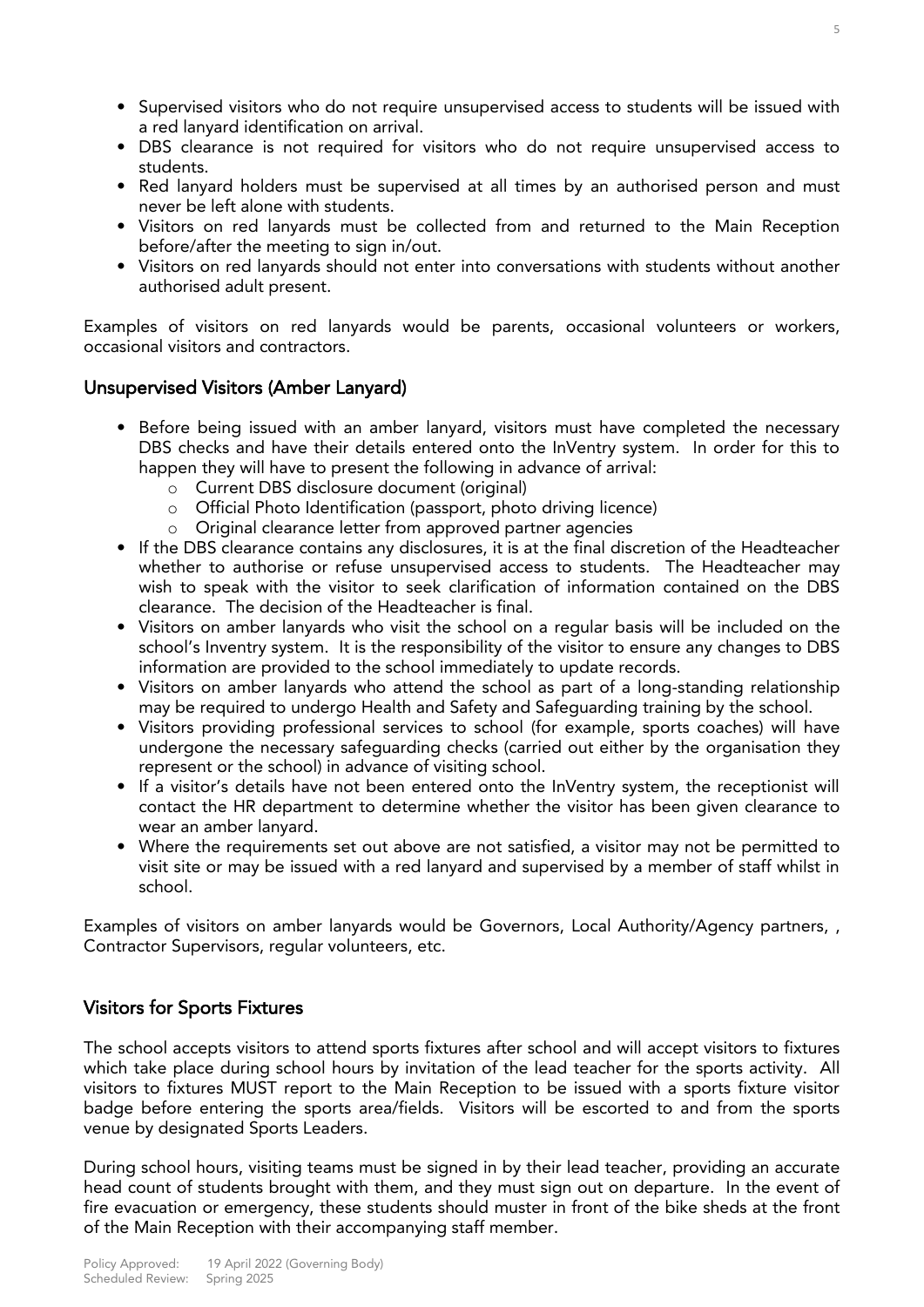- Supervised visitors who do not require unsupervised access to students will be issued with
- DBS clearance is not required for visitors who do not require unsupervised access to  $\mathsf{st<sub>1}</sub>$ </sub>
- Red lanyard holders must be supervised at all times by an authorised person and must never be left alone with students.
- Visitors on red lanyards must be collected from and returned to the Main Reception before/after the meeting to sign in/out.
- Visitors on red lanyards should not enter into conversations with students without another • Visitors on red lanyards should not enter into conversations with students without another authorised adult present.

Examples of visitors on red lanyards would be parents, occasional volunteers or workers, occasional visitors and contractors.

## Unsupervised Visitors (Amber Lanyard)

- Before being issued with an amber lanyard, visitors must have completed the necessary<br>DBS checks and have their details entered onto the InVentry system. In order for this to happen they will have to present the following in advance of arrival:
	- o Current DBS disclosure document (original)<br>
	o Cificial Photo Identification (passport, photo driving licence)
		- <sup>o</sup> Official Photo Identification (passport, photo driving licence)
		-
- o Original clearance letter from approved partner agencies<br>• If the DBS clearance contains any disclosures, it is at the final discretion of the Headteacher whether to authorise or refuse unsupervised access to students. The Headteacher may wish to speak with the visitor to seek clarification of information contained on the DBS clearance. The decision of the Headteacher is final.
- Visitors on amber lanyards who visit the school on a regular basis will be included on the school's Inventry system. It is the responsibility of the visitor to ensure any changes to DBS information are provided to the school immediately to update records.
- Visitors on amber lanyards who attend the school as part of a long-standing relationship may be required to undergo Health and Safety and Safequarding training by the school.
- Visitors providing professional services to school (for example, sports coaches) will have undergone the necessary safeguarding checks (carried out either by the organisation they represent or the school) in advance of visiting school.
- If a visitor's details have not been entered onto the InVentry system, the receptionist will contact the HR department to determine whether the visitor has been given clearance to wear an amber lanvard.
- Where the requirements set out above are not satisfied, a visitor may not be permitted to visit site or may be issued with a red lanyard and supervised by a member of staff whilst in  $\sum_{i=1}^{n}$ school.

Examples of visitors on amber lanyards would be Governors, Local Authority/Agency partners, , contractor  $\mathcal{L}$  supervisors, regular volume  $\mathcal{L}$ 

# Visitors for Sports Fixtures

The school accepts visitors to attend sports fixtures after school and will accept visitors to fixtures which take place during school hours by invitation of the lead teacher for the sports activity. All visitors to fixtures MUST report to the Main Reception to be issued with a sports fixture visitor badge before entering the sports area/fields. Visitors will be escorted to and from the sports badge before entering the sports of the sports with the sports with the sports with the sports with the sports will be estimated to and from the sports of and from the sports with the sports of the sports of the sports wit versignation by designations of the Sports Leaders.

During school hours, visiting teams must be signed in by their lead teacher, providing an accurate head count of students brought with them, and they must sign out on departure. In the event of fire evacuation or emergency, these students should muster in front of the bike sheds at the front of the Main Reception with their accompanying staff member of the Main Reception with their accompanying staff member.